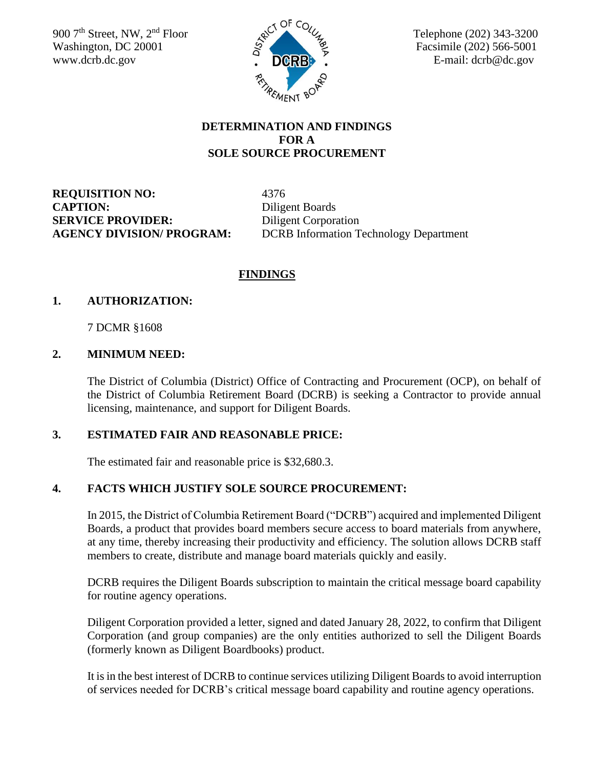900 7<sup>th</sup> Street, NW, 2<sup>nd</sup> Floor Washington, DC 20001  $\frac{5}{5}$  Facsimile (202) 566-5001 [www.dcrb.dc.gov](http://www.dcrb.dc.gov/)  $\overrightarrow{D}$   $\overrightarrow{D}$   $\overrightarrow{C}$   $\overrightarrow{R}$   $\overrightarrow{B}$   $\overrightarrow{C}$   $\overrightarrow{E}$ -mail: dcrb@dc.gov



#### **DETERMINATION AND FINDINGS FOR A SOLE SOURCE PROCUREMENT**

**REQUISITION NO:** 4376 **CAPTION:** Diligent Boards **SERVICE PROVIDER:** Diligent Corporation

**AGENCY DIVISION/ PROGRAM:** DCRB Information Technology Department

## **FINDINGS**

#### **1. AUTHORIZATION:**

7 DCMR §1608

#### **2. MINIMUM NEED:**

The District of Columbia (District) Office of Contracting and Procurement (OCP), on behalf of the District of Columbia Retirement Board (DCRB) is seeking a Contractor to provide annual licensing, maintenance, and support for Diligent Boards.

## **3. ESTIMATED FAIR AND REASONABLE PRICE:**

The estimated fair and reasonable price is \$32,680.3.

## **4. FACTS WHICH JUSTIFY SOLE SOURCE PROCUREMENT:**

In 2015, the District of Columbia Retirement Board ("DCRB") acquired and implemented Diligent Boards, a product that provides board members secure access to board materials from anywhere, at any time, thereby increasing their productivity and efficiency. The solution allows DCRB staff members to create, distribute and manage board materials quickly and easily.

DCRB requires the Diligent Boards subscription to maintain the critical message board capability for routine agency operations.

Diligent Corporation provided a letter, signed and dated January 28, 2022, to confirm that Diligent Corporation (and group companies) are the only entities authorized to sell the Diligent Boards (formerly known as Diligent Boardbooks) product.

It is in the best interest of DCRB to continue services utilizing Diligent Boards to avoid interruption of services needed for DCRB's critical message board capability and routine agency operations.